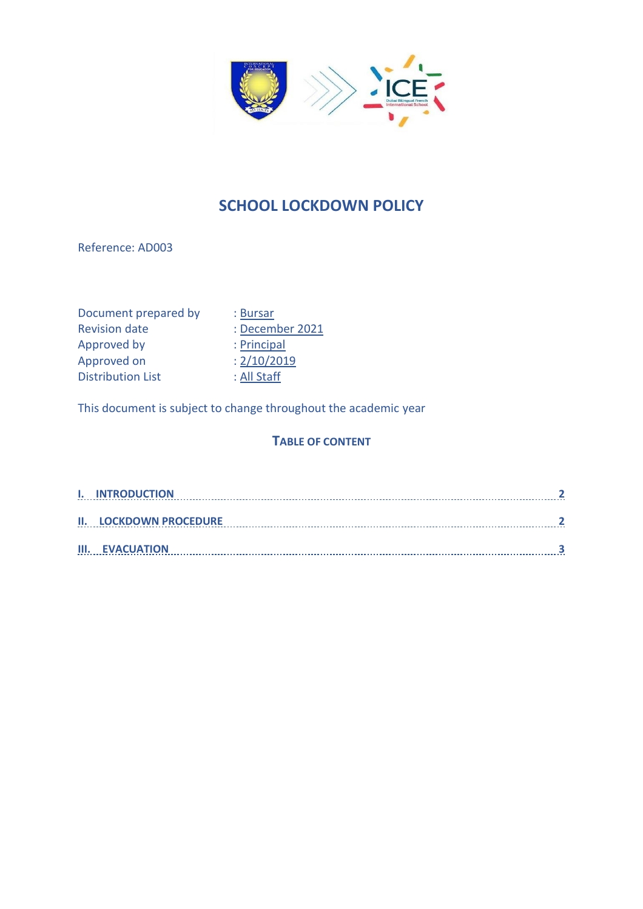

# **SCHOOL LOCKDOWN POLICY**

Reference: AD003

Document prepared by : Bursar Revision date : December 2021 Approved by : Principal Approved on : 2/10/2019 Distribution List : All Staff

This document is subject to change throughout the academic year

#### **TABLE OF CONTENT**

| <b>I. INTRODUCTION</b>        |  |
|-------------------------------|--|
|                               |  |
| <b>II. LOCKDOWN PROCEDURE</b> |  |
|                               |  |
| <b>III. EVACUATION</b>        |  |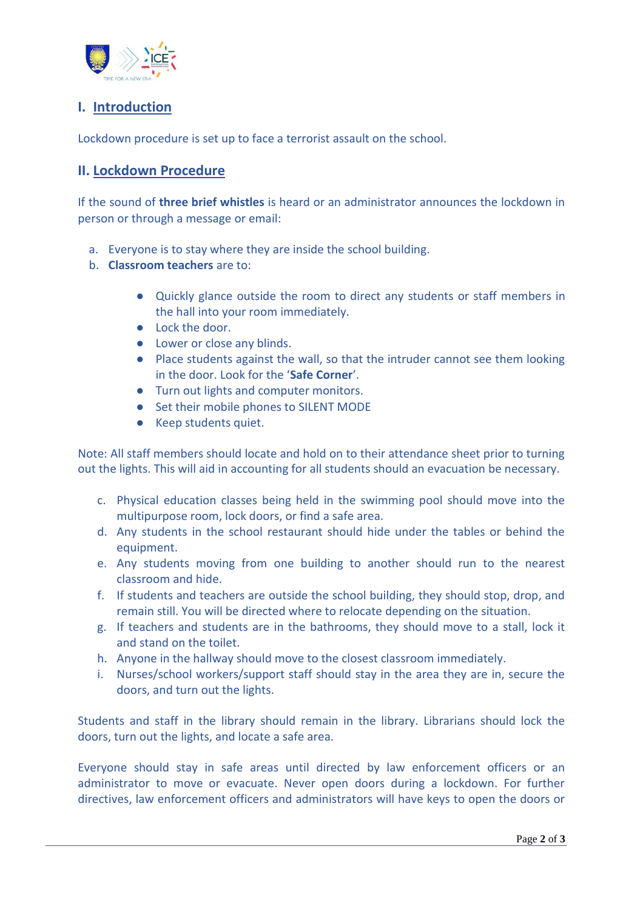

## <span id="page-1-0"></span>**I. Introduction**

Lockdown procedure is set up to face a terrorist assault on the school.

### <span id="page-1-1"></span>**II. Lockdown Procedure**

If the sound of **three brief whistles** is heard or an administrator announces the lockdown in person or through a message or email:

- a. Everyone is to stay where they are inside the school building.
- b. **Classroom teachers** are to:
	- Quickly glance outside the room to direct any students or staff members in the hall into your room immediately.
	- Lock the door.
	- Lower or close any blinds.
	- Place students against the wall, so that the intruder cannot see them looking in the door. Look for the '**Safe Corner**'.
	- Turn out lights and computer monitors.
	- Set their mobile phones to SILENT MODE
	- Keep students quiet.

Note: All staff members should locate and hold on to their attendance sheet prior to turning out the lights. This will aid in accounting for all students should an evacuation be necessary.

- c. Physical education classes being held in the swimming pool should move into the multipurpose room, lock doors, or find a safe area.
- d. Any students in the school restaurant should hide under the tables or behind the equipment.
- e. Any students moving from one building to another should run to the nearest classroom and hide.
- f. If students and teachers are outside the school building, they should stop, drop, and remain still. You will be directed where to relocate depending on the situation.
- g. If teachers and students are in the bathrooms, they should move to a stall, lock it and stand on the toilet.
- h. Anyone in the hallway should move to the closest classroom immediately.
- i. Nurses/school workers/support staff should stay in the area they are in, secure the doors, and turn out the lights.

Students and staff in the library should remain in the library. Librarians should lock the doors, turn out the lights, and locate a safe area.

Everyone should stay in safe areas until directed by law enforcement officers or an administrator to move or evacuate. Never open doors during a lockdown. For further directives, law enforcement officers and administrators will have keys to open the doors or